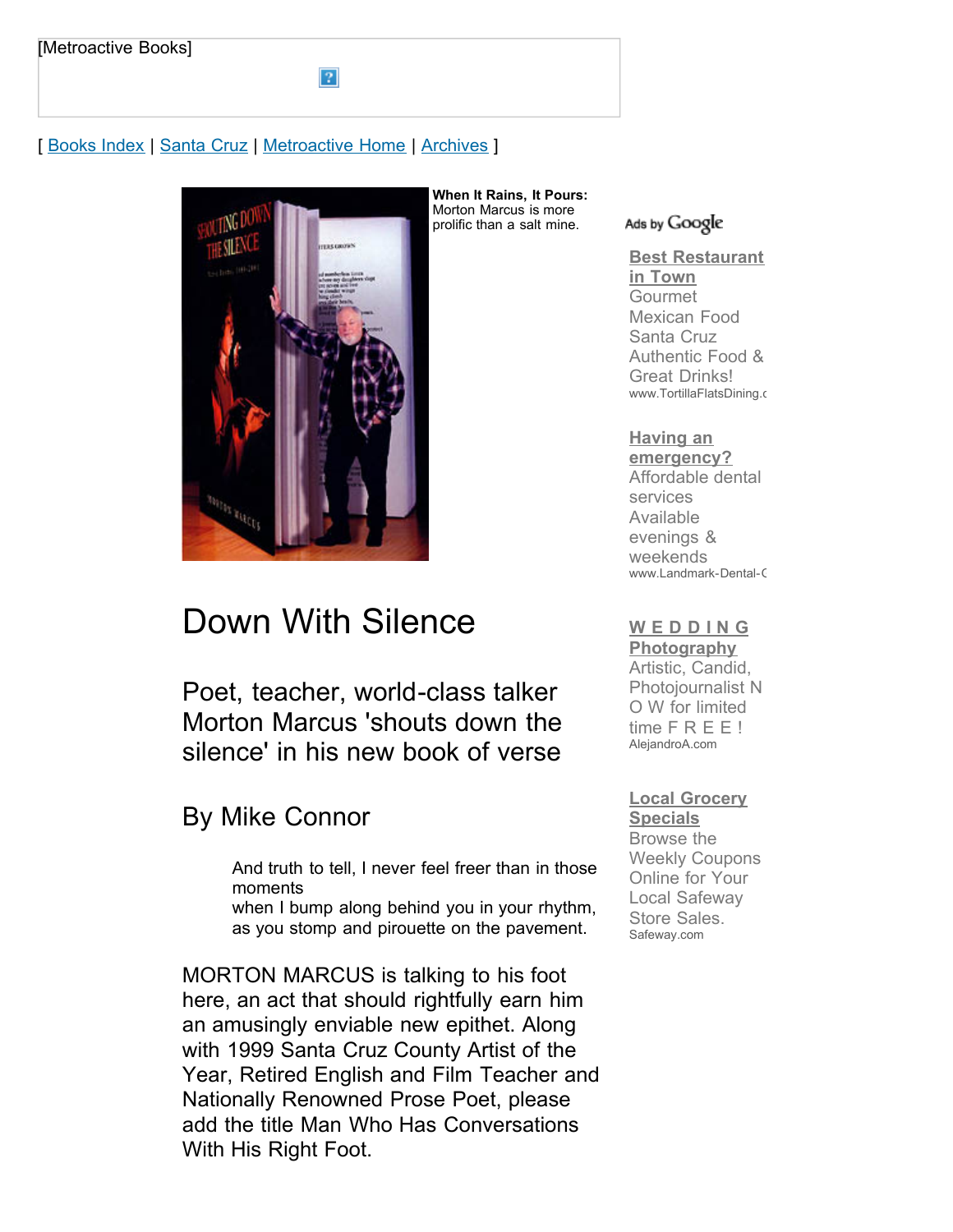# [ [Books Index](http://metroactive.com/books/) | [Santa Cruz](http://www.metroactive.com/papers/cruz/10.02.02/index.html) | [Metroactive Home](http://metroactive.com/) | [Archives](http://metroactive.com/papers/cruz/archives.html) ]

2



# Down With Silence

Poet, teacher, world-class talker Morton Marcus 'shouts down the silence' in his new book of verse

# By Mike Connor

And truth to tell, I never feel freer than in those moments

when I bump along behind you in your rhythm, as you stomp and pirouette on the pavement.

MORTON MARCUS is talking to his foot here, an act that should rightfully earn him an amusingly enviable new epithet. Along with 1999 Santa Cruz County Artist of the Year, Retired English and Film Teacher and Nationally Renowned Prose Poet, please add the title Man Who Has Conversations With His Right Foot.

#### Ads by Google

**[Best Restaurant](http://googleads.g.doubleclick.net/aclk?sa=l&ai=BpgwKY2_SS_jpN5WcjQT4ps2BD67frHuw4NCMCMCNtwGw-k8QARgBIPaOvQkoBDgAUJPB4Iz-_____wFgyZbVhsij9BmyARN3d3cubWV0cm9hY3RpdmUuY29tugEKMTIweDYwMF9hc8gBAdoBQGh0dHA6Ly93d3cubWV0cm9hY3RpdmUuY29tL3BhcGVycy9jcnV6LzEwLjAyLjAyL21hcmN1cy0wMjQwLmh0bWyoAwHIAwfoA7UE6AOFBugDkAP1AwAAAMQ&num=1&sig=AGiWqtz7zKpj_d4sjLpHyGvE0hdKgHrtSQ&client=ca-pub-0074378341047059&adurl=http://www.tortillaflatsdining.com) in Town** Gourmet Mexican Food Santa Cruz Authentic Food & Great Drinks! www.TortillaFlatsDining.c

# **Having an**

**[emergency?](http://googleads.g.doubleclick.net/aclk?sa=l&ai=BRaC-Y2_SS_jpN5WcjQT4ps2BD6be69ABvvGiiRPAjbcBkJuOARACGAIg9o69CSgEOABQ7dGKpgNgyZbVhsij9BmgAarNxesDsgETd3d3Lm1ldHJvYWN0aXZlLmNvbboBCjEyMHg2MDBfYXPIAQHaAUBodHRwOi8vd3d3Lm1ldHJvYWN0aXZlLmNvbS9wYXBlcnMvY3J1ei8xMC4wMi4wMi9tYXJjdXMtMDI0MC5odG1sgAIBqAMByAMH6AO1BOgDhQboA5AD9QMAAADE&num=2&sig=AGiWqtyTNO2_xErNlP4zJ41gU5HSGDVCgA&client=ca-pub-0074378341047059&adurl=http://www.Landmark-Dental-Group.com)** Affordable dental services Available evenings & weekends www.Landmark-Dental-C

# **[W E D D I N G](http://googleads.g.doubleclick.net/aclk?sa=l&ai=BN5b4Y2_SS_jpN5WcjQT4ps2BD67e1sABnoae1w7AjbcBgJ9JEAMYAyD2jr0JKAQ4AFDCjMjT_P____8BYMmW1YbIo_QZsgETd3d3Lm1ldHJvYWN0aXZlLmNvbboBCjEyMHg2MDBfYXPIAQHaAUBodHRwOi8vd3d3Lm1ldHJvYWN0aXZlLmNvbS9wYXBlcnMvY3J1ei8xMC4wMi4wMi9tYXJjdXMtMDI0MC5odG1sgAIBqAMByAMH6AO1BOgDhQboA5AD9QMAAADE&num=3&sig=AGiWqtxHZnufuLtUA8rE38mE07DgCe5Imw&client=ca-pub-0074378341047059&adurl=http://AlejandroA.com&nm=3)**

**Photography** Artistic, Candid, Photojournalist N O W for limited time F R E E ! AlejandroA.com

# **[Local Grocery](http://googleads.g.doubleclick.net/aclk?sa=l&ai=BFYDUY2_SS_jpN5WcjQT4ps2BD63zrasB_8f-kBDAjbcB8NBIEAQYBCD2jr0JKAQ4AFCa2M_bBWDJltWGyKP0GbIBE3d3dy5tZXRyb2FjdGl2ZS5jb226AQoxMjB4NjAwX2FzyAEB2gFAaHR0cDovL3d3dy5tZXRyb2FjdGl2ZS5jb20vcGFwZXJzL2NydXovMTAuMDIuMDIvbWFyY3VzLTAyNDAuaHRtbMgClei3DKgDAcgDB-gDtQToA4UG6AOQA_UDAAAAxA&num=4&sig=AGiWqtynGt4umwFEgMIWsqbnwuNrDVSC2w&client=ca-pub-0074378341047059&adurl=http://s2.srtk.net/www/delivery/rd.php%3Fbannerid%3D227%26trackerid%3D669%26SR%3Dsr3_4242195_go%26rdc%3D41c679dcf1fdb45e62703380a31b3da6%26url%3Dhttp%253A%252F%252Fwww.safeway.com%252FIFL%252FGrocery%252FSmart-Savings%2526cmpid%253Dsearch_smart_savings_safeway&nm=6)**

**Specials** Browse the Weekly Coupons Online for Your Local Safeway Store Sales. Safeway.com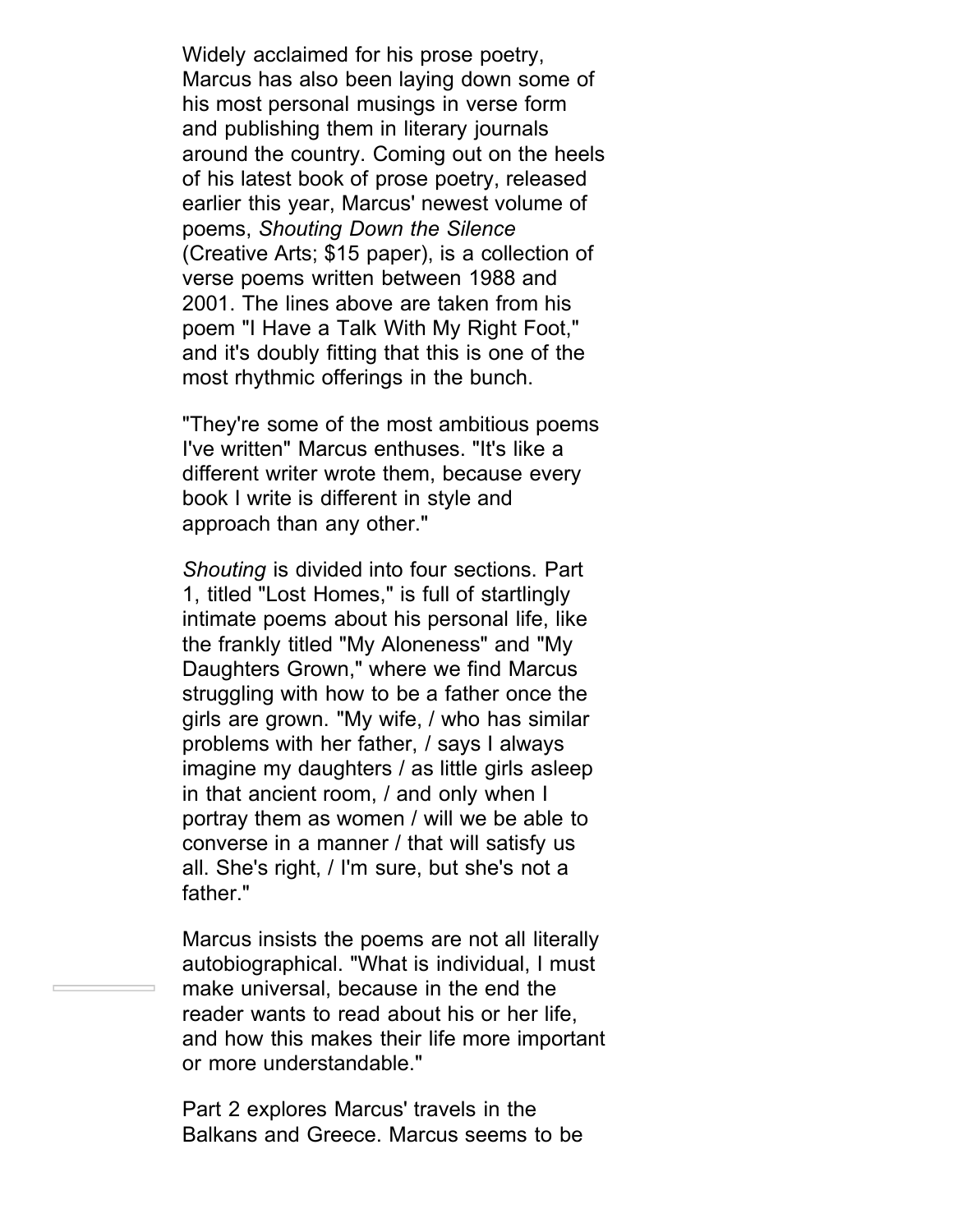Widely acclaimed for his prose poetry, Marcus has also been laying down some of his most personal musings in verse form and publishing them in literary journals around the country. Coming out on the heels of his latest book of prose poetry, released earlier this year, Marcus' newest volume of poems, *Shouting Down the Silence* (Creative Arts; \$15 paper), is a collection of verse poems written between 1988 and 2001. The lines above are taken from his poem "I Have a Talk With My Right Foot," and it's doubly fitting that this is one of the most rhythmic offerings in the bunch.

"They're some of the most ambitious poems I've written" Marcus enthuses. "It's like a different writer wrote them, because every book I write is different in style and approach than any other."

*Shouting* is divided into four sections. Part 1, titled "Lost Homes," is full of startlingly intimate poems about his personal life, like the frankly titled "My Aloneness" and "My Daughters Grown," where we find Marcus struggling with how to be a father once the girls are grown. "My wife, / who has similar problems with her father, / says I always imagine my daughters / as little girls asleep in that ancient room, / and only when I portray them as women / will we be able to converse in a manner / that will satisfy us all. She's right, / I'm sure, but she's not a father."

Marcus insists the poems are not all literally autobiographical. "What is individual, I must make universal, because in the end the reader wants to read about his or her life, and how this makes their life more important or more understandable."

Part 2 explores Marcus' travels in the Balkans and Greece. Marcus seems to be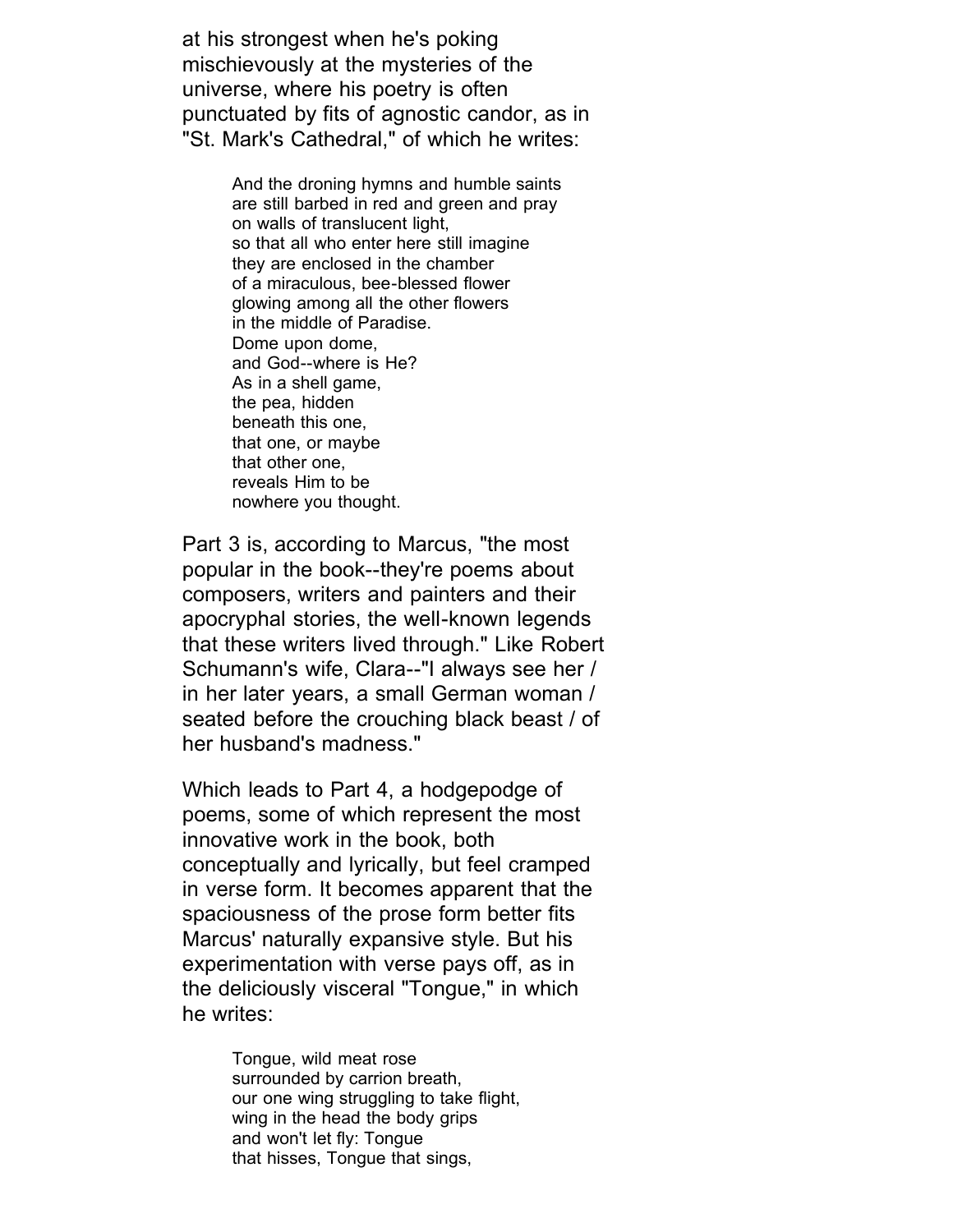at his strongest when he's poking mischievously at the mysteries of the universe, where his poetry is often punctuated by fits of agnostic candor, as in "St. Mark's Cathedral," of which he writes:

> And the droning hymns and humble saints are still barbed in red and green and pray on walls of translucent light, so that all who enter here still imagine they are enclosed in the chamber of a miraculous, bee-blessed flower glowing among all the other flowers in the middle of Paradise. Dome upon dome, and God--where is He? As in a shell game, the pea, hidden beneath this one, that one, or maybe that other one, reveals Him to be nowhere you thought.

Part 3 is, according to Marcus, "the most popular in the book--they're poems about composers, writers and painters and their apocryphal stories, the well-known legends that these writers lived through." Like Robert Schumann's wife, Clara--"I always see her / in her later years, a small German woman / seated before the crouching black beast / of her husband's madness."

Which leads to Part 4, a hodgepodge of poems, some of which represent the most innovative work in the book, both conceptually and lyrically, but feel cramped in verse form. It becomes apparent that the spaciousness of the prose form better fits Marcus' naturally expansive style. But his experimentation with verse pays off, as in the deliciously visceral "Tongue," in which he writes:

> Tongue, wild meat rose surrounded by carrion breath, our one wing struggling to take flight, wing in the head the body grips and won't let fly: Tongue that hisses, Tongue that sings,